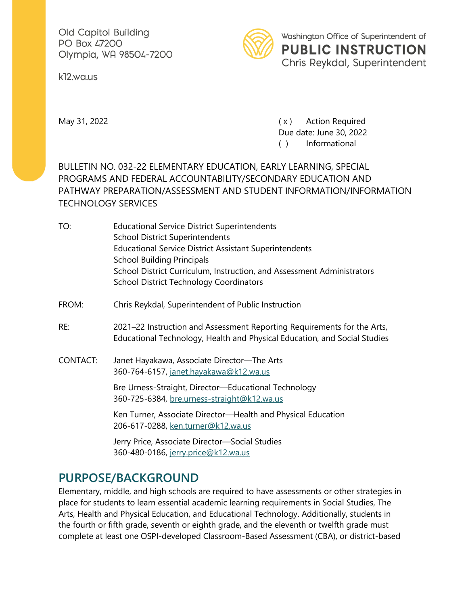Old Capitol Building PO Box 47200 Olympia, WA 98504-7200

k12.wa.us



May 31, 2022 **May 31, 2022 CONFIDENTIFY Action Required** Due date: June 30, 2022 ( ) Informational

#### BULLETIN NO. 032-22 ELEMENTARY EDUCATION, EARLY LEARNING, SPECIAL PROGRAMS AND FEDERAL ACCOUNTABILITY/SECONDARY EDUCATION AND PATHWAY PREPARATION/ASSESSMENT AND STUDENT INFORMATION/INFORMATION TECHNOLOGY SERVICES

- TO: Educational Service District Superintendents School District Superintendents Educational Service District Assistant Superintendents School Building Principals School District Curriculum, Instruction, and Assessment Administrators School District Technology Coordinators
- FROM: Chris Reykdal, Superintendent of Public Instruction
- RE: 2021–22 Instruction and Assessment Reporting Requirements for the Arts, Educational Technology, Health and Physical Education, and Social Studies
- CONTACT: Janet Hayakawa, Associate Director—The Arts 360-764-6157, [janet.hayakawa@k12.wa.us](mailto:janet.hayakawa@k12.wa.us)

Bre Urness-Straight, Director—Educational Technology 360-725-6384, [bre.urness-straight@k12.wa.us](mailto:bre.urness-straight@k12.wa.us)

Ken Turner, Associate Director—Health and Physical Education 206-617-0288, [ken.turner@k12.wa.us](mailto:ken.turner@k12.wa.us)

Jerry Price, Associate Director—Social Studies 360-480-0186, [jerry.price@k12.wa.us](mailto:jerry.price@k12.wa.us)

#### **PURPOSE/BACKGROUND**

Elementary, middle, and high schools are required to have assessments or other strategies in place for students to learn essential academic learning requirements in Social Studies, The Arts, Health and Physical Education, and Educational Technology. Additionally, students in the fourth or fifth grade, seventh or eighth grade, and the eleventh or twelfth grade must complete at least one OSPI-developed Classroom-Based Assessment (CBA), or district-based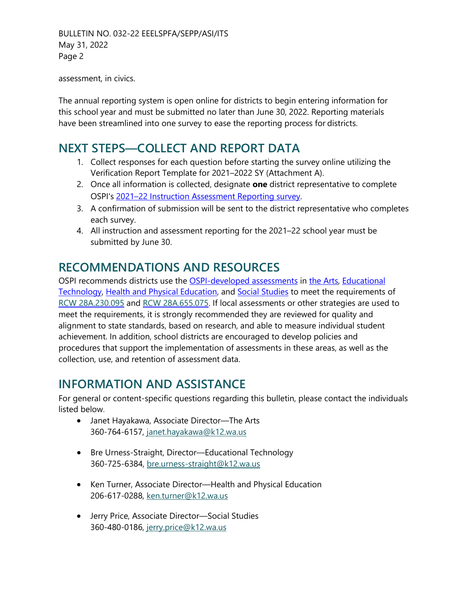BULLETIN NO. 032-22 EEELSPFA/SEPP/ASI/ITS May 31, 2022 Page 2

assessment, in civics.

The annual reporting system is open online for districts to begin entering information for this school year and must be submitted no later than June 30, 2022. Reporting materials have been streamlined into one survey to ease the reporting process for districts.

### **NEXT STEPS—COLLECT AND REPORT DATA**

- 1. Collect responses for each question before starting the survey online utilizing the Verification Report Template for 2021–2022 SY (Attachment A).
- 2. Once all information is collected, designate **one** district representative to complete OSPI's 2021–[22 Instruction Assessment Reporting survey.](https://survey.alchemer.com/s3/6854144/2021-22-Instruction-Assessment-Reporting)
- 3. A confirmation of submission will be sent to the district representative who completes each survey.
- 4. All instruction and assessment reporting for the 2021–22 school year must be submitted by June 30.

# **RECOMMENDATIONS AND RESOURCES**

OSPI recommends districts use the [OSPI-developed assessments](https://www.k12.wa.us/student-success/learning-standards-instructional-materials/reporting-instruction-and-assessment) in [the Arts,](https://www.k12.wa.us/student-success/resources-subject-area/arts/ospi-developed-performance-assessments-arts) [Educational](https://www.k12.wa.us/student-success/resources-subject-area/educational-technology-edtech/ospi-developed-assessments-verification-educational-technology)  [Technology,](https://www.k12.wa.us/student-success/resources-subject-area/educational-technology-edtech/ospi-developed-assessments-verification-educational-technology) Health and [Physical Education,](https://www.k12.wa.us/student-success/resources-subject-area/health-and-physical-education/health-and-physical-education-assessments) and [Social Studies](https://www.k12.wa.us/student-success/resources-subject-area/social-studies/ospi-developed-social-studies-assessments) to meet the requirements of [RCW](http://apps.leg.wa.gov/RCW/default.aspx?cite=28A.230.095) [28A.230.095](http://apps.leg.wa.gov/RCW/default.aspx?cite=28A.230.095) and [RCW 28A.655.075.](http://apps.leg.wa.gov/rcw/default.aspx?cite=28A.655.075) If local assessments or other strategies are used to meet the requirements, it is strongly recommended they are reviewed for quality and alignment to state standards, based on research, and able to measure individual student achievement. In addition, school districts are encouraged to develop policies and procedures that support the implementation of assessments in these areas, as well as the collection, use, and retention of assessment data.

## **INFORMATION AND ASSISTANCE**

For general or content-specific questions regarding this bulletin, please contact the individuals listed below.

- Janet Hayakawa, Associate Director—The Arts 360-764-6157, [janet.hayakawa@k12.wa.us](mailto:janet.hayakawa@k12.wa.us)
- Bre Urness-Straight, Director—Educational Technology 360-725-6384, [bre.urness-straight@k12.wa.us](mailto:bre.urness-straight@k12.wa.us)
- Ken Turner, Associate Director—Health and Physical Education 206-617-0288, [ken.turner@k12.wa.us](mailto:ken.turner@k12.wa.us)
- Jerry Price, Associate Director—Social Studies 360-480-0186, [jerry.price@k12.wa.us](mailto:jerry.price@k12.wa.us)